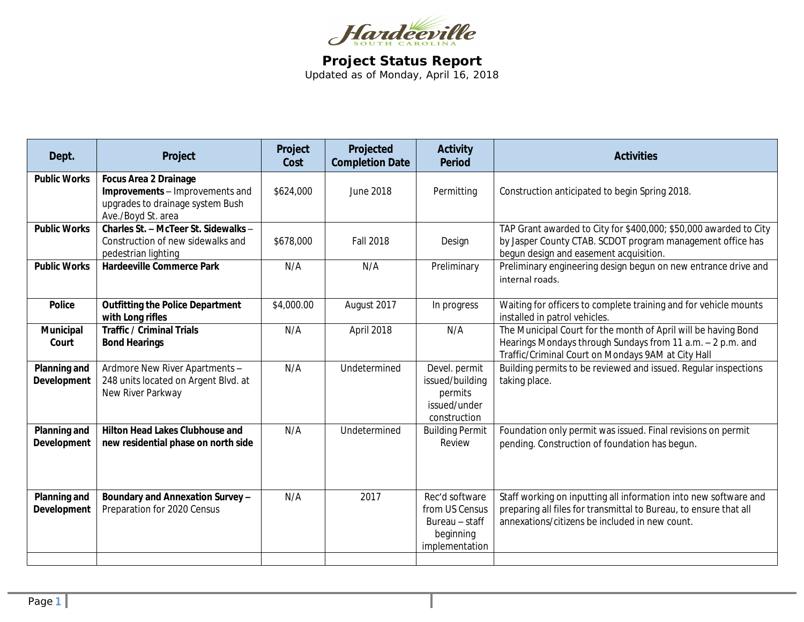

**Project Status Report** Updated as of Monday, April 16, 2018

| Dept.                              | Project                                                                                                                   | Project<br>Cost | Projected<br><b>Completion Date</b> | <b>Activity</b><br><b>Period</b>                                                  | <b>Activities</b>                                                                                                                                                                       |
|------------------------------------|---------------------------------------------------------------------------------------------------------------------------|-----------------|-------------------------------------|-----------------------------------------------------------------------------------|-----------------------------------------------------------------------------------------------------------------------------------------------------------------------------------------|
| <b>Public Works</b>                | <b>Focus Area 2 Drainage</b><br>Improvements - Improvements and<br>upgrades to drainage system Bush<br>Ave./Boyd St. area | \$624,000       | <b>June 2018</b>                    | Permitting                                                                        | Construction anticipated to begin Spring 2018.                                                                                                                                          |
| <b>Public Works</b>                | Charles St. - McTeer St. Sidewalks -<br>Construction of new sidewalks and<br>pedestrian lighting                          | \$678,000       | <b>Fall 2018</b>                    | Design                                                                            | TAP Grant awarded to City for \$400,000; \$50,000 awarded to City<br>by Jasper County CTAB. SCDOT program management office has<br>begun design and easement acquisition.               |
| <b>Public Works</b>                | <b>Hardeeville Commerce Park</b>                                                                                          | N/A             | N/A                                 | Preliminary                                                                       | Preliminary engineering design begun on new entrance drive and<br>internal roads.                                                                                                       |
| <b>Police</b>                      | <b>Outfitting the Police Department</b><br>with Long rifles                                                               | \$4,000.00      | August 2017                         | In progress                                                                       | Waiting for officers to complete training and for vehicle mounts<br>installed in patrol vehicles.                                                                                       |
| Municipal<br>Court                 | <b>Traffic / Criminal Trials</b><br><b>Bond Hearings</b>                                                                  | N/A             | April 2018                          | N/A                                                                               | The Municipal Court for the month of April will be having Bond<br>Hearings Mondays through Sundays from 11 a.m. - 2 p.m. and<br>Traffic/Criminal Court on Mondays 9AM at City Hall      |
| Planning and<br>Development        | Ardmore New River Apartments -<br>248 units located on Argent Blvd. at<br>New River Parkway                               | N/A             | Undetermined                        | Devel. permit<br>issued/building<br>permits<br>issued/under<br>construction       | Building permits to be reviewed and issued. Regular inspections<br>taking place.                                                                                                        |
| Planning and<br><b>Development</b> | <b>Hilton Head Lakes Clubhouse and</b><br>new residential phase on north side                                             | N/A             | Undetermined                        | <b>Building Permit</b><br>Review                                                  | Foundation only permit was issued. Final revisions on permit<br>pending. Construction of foundation has begun.                                                                          |
| Planning and<br>Development        | Boundary and Annexation Survey-<br>Preparation for 2020 Census                                                            | N/A             | 2017                                | Rec'd software<br>from US Census<br>Bureau - staff<br>beginning<br>implementation | Staff working on inputting all information into new software and<br>preparing all files for transmittal to Bureau, to ensure that all<br>annexations/citizens be included in new count. |